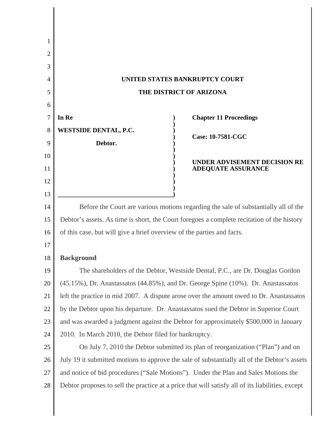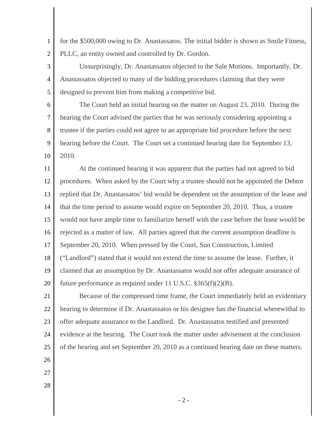1 2 for the \$500,000 owing to Dr. Anastassatos. The initial bidder is shown as Smile Fitness, PLLC, an entity owned and controlled by Dr. Gordon.

3 4 5 Unsurprisingly, Dr. Anastassatos objected to the Sale Motions. Importantly, Dr. Anastassatos objected to many of the bidding procedures claiming that they were designed to prevent him from making a competitive bid.

6 7 8 9 10 The Court held an initial hearing on the matter on August 23, 2010. During the hearing the Court advised the parties that he was seriously considering appointing a trustee if the parties could not agree to an appropriate bid procedure before the next hearing before the Court. The Court set a continued hearing date for September 13, 2010.

11 12 13 14 15 16 17 18 19 20 At the continued hearing it was apparent that the parties had not agreed to bid procedures. When asked by the Court why a trustee should not be appointed the Debtor replied that Dr. Anastassatos' bid would be dependent on the assumption of the lease and that the time period to assume would expire on September 20, 2010. Thus, a trustee would not have ample time to familiarize herself with the case before the lease would be rejected as a matter of law. All parties agreed that the current assumption deadline is September 20, 2010. When pressed by the Court, Sun Construction, Limited ("Landlord") stated that it would not extend the time to assume the lease. Further, it claimed that an assumption by Dr. Anastassatos would not offer adequate assurance of future performance as required under 11 U.S.C. §365(f)(2)(B).

21 22 23 24 25 Because of the compressed time frame, the Court immediately held an evidentiary hearing to determine if Dr. Anastassatos or his designee has the financial wherewithal to offer adequate assurance to the Landlord. Dr. Anastassatos testified and presented evidence at the hearing. The Court took the matter under advisement at the conclusion of the hearing and set September 20, 2010 as a continued hearing date on these matters.

- 26
- 27
- 28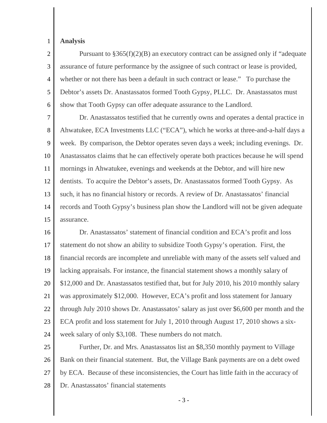## 1 **Analysis**

2 3 4 5 6 Pursuant to §365(f)(2)(B) an executory contract can be assigned only if "adequate assurance of future performance by the assignee of such contract or lease is provided, whether or not there has been a default in such contract or lease." To purchase the Debtor's assets Dr. Anastassatos formed Tooth Gypsy, PLLC. Dr. Anastassatos must show that Tooth Gypsy can offer adequate assurance to the Landlord.

7 8 9 10 11 12 13 14 15 Dr. Anastassatos testified that he currently owns and operates a dental practice in Ahwatukee, ECA Investments LLC ("ECA"), which he works at three-and-a-half days a week. By comparison, the Debtor operates seven days a week; including evenings. Dr. Anastassatos claims that he can effectively operate both practices because he will spend mornings in Ahwatukee, evenings and weekends at the Debtor, and will hire new dentists. To acquire the Debtor's assets, Dr. Anastassatos formed Tooth Gypsy. As such, it has no financial history or records. A review of Dr. Anastassatos' financial records and Tooth Gypsy's business plan show the Landlord will not be given adequate assurance.

16 17 18 19 20 21 22 23 24 Dr. Anastassatos' statement of financial condition and ECA's profit and loss statement do not show an ability to subsidize Tooth Gypsy's operation. First, the financial records are incomplete and unreliable with many of the assets self valued and lacking appraisals. For instance, the financial statement shows a monthly salary of \$12,000 and Dr. Anastassatos testified that, but for July 2010, his 2010 monthly salary was approximately \$12,000. However, ECA's profit and loss statement for January through July 2010 shows Dr. Anastassatos' salary as just over \$6,600 per month and the ECA profit and loss statement for July 1, 2010 through August 17, 2010 shows a sixweek salary of only \$3,108. These numbers do not match.

25 26 27 28 Further, Dr. and Mrs. Anastassatos list an \$8,350 monthly payment to Village Bank on their financial statement. But, the Village Bank payments are on a debt owed by ECA. Because of these inconsistencies, the Court has little faith in the accuracy of Dr. Anastassatos' financial statements

- 3 -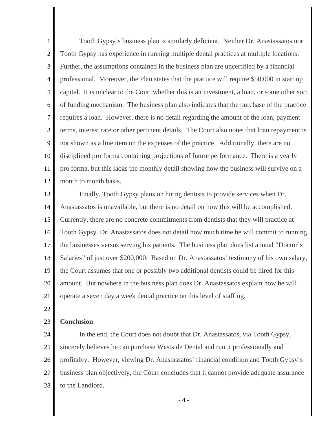1 2 3 4 5 6 7 8 9 10 11 12 Tooth Gypsy's business plan is similarly deficient. Neither Dr. Anastassatos nor Tooth Gypsy has experience in running multiple dental practices at multiple locations. Further, the assumptions contained in the business plan are uncertified by a financial professional. Moreover, the Plan states that the practice will require \$50,000 in start up capital. It is unclear to the Court whether this is an investment, a loan, or some other sort of funding mechanism. The business plan also indicates that the purchase of the practice requires a loan. However, there is no detail regarding the amount of the loan, payment terms, interest rate or other pertinent details. The Court also notes that loan repayment is not shown as a line item on the expenses of the practice. Additionally, there are no disciplined pro forma containing projections of future performance. There is a yearly pro forma, but this lacks the monthly detail showing how the business will survive on a month to month basis.

13 14 15 16 17 18 19 20 21 Finally, Tooth Gypsy plans on hiring dentists to provide services when Dr. Anastassatos is unavailable, but there is no detail on how this will be accomplished. Currently, there are no concrete commitments from dentists that they will practice at Tooth Gypsy. Dr. Anastassatos does not detail how much time he will commit to running the businesses versus serving his patients. The business plan does list annual "Doctor's Salaries" of just over \$200,000. Based on Dr. Anastassatos' testimony of his own salary, the Court assumes that one or possibly two additional dentists could be hired for this amount. But nowhere in the business plan does Dr. Anastassatos explain how he will operate a seven day a week dental practice on this level of staffing.

22

## 23 **Conclusion**

24 25 26 27 28 In the end, the Court does not doubt that Dr. Anastassatos, via Tooth Gypsy, sincerely believes he can purchase Westside Dental and run it professionally and profitably. However, viewing Dr. Anastassatos' financial condition and Tooth Gypsy's business plan objectively, the Court concludes that it cannot provide adequate assurance to the Landlord.

- 4 -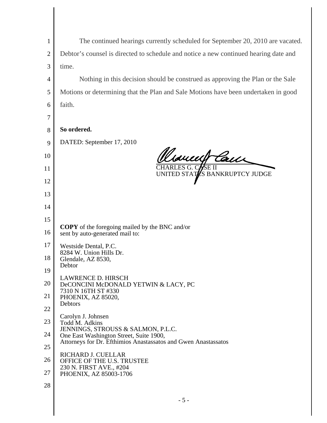| $\mathbf{1}$   | The continued hearings currently scheduled for September 20, 2010 are vacated.           |
|----------------|------------------------------------------------------------------------------------------|
| $\overline{c}$ | Debtor's counsel is directed to schedule and notice a new continued hearing date and     |
| 3              | time.                                                                                    |
| 4              | Nothing in this decision should be construed as approving the Plan or the Sale           |
| 5              | Motions or determining that the Plan and Sale Motions have been undertaken in good       |
| 6              | faith.                                                                                   |
| 7              |                                                                                          |
| 8              | So ordered.                                                                              |
| 9              | DATED: September 17, 2010                                                                |
| 10             | Weavent Can                                                                              |
| 11             | CHARLES G. CASE II<br>UNITED STATES BANKRUPTCY JUDGE                                     |
| 12             |                                                                                          |
| 13             |                                                                                          |
| 14             |                                                                                          |
| 15             |                                                                                          |
| 16             | <b>COPY</b> of the foregoing mailed by the BNC and/or<br>sent by auto-generated mail to: |
| 17             | Westside Dental, P.C.                                                                    |
| 18             | 8284 W. Union Hills Dr.<br>Glendale, AZ 8530,                                            |
| 19             | Debtor                                                                                   |
| 20             | <b>LAWRENCE D. HIRSCH</b><br>DeCONCINI McDONALD YETWIN & LACY, PC                        |
| 21             | 7310 N 16TH ST #330<br>PHOENIX, AZ 85020,                                                |
| 22             | Debtors                                                                                  |
| 23             | Carolyn J. Johnsen<br>Todd M. Adkins                                                     |
| 24             | JENNINGS, STROUSS & SALMON, P.L.C.<br>One East Washington Street, Suite 1900,            |
| 25             | Attorneys for Dr. Efthimios Anastassatos and Gwen Anastassatos                           |
| 26             | RICHARD J. CUELLAR<br>OFFICE OF THE U.S. TRUSTEE                                         |
| 27             | 230 N. FIRST AVE., #204<br>PHOENIX, AZ 85003-1706                                        |
| 28             |                                                                                          |